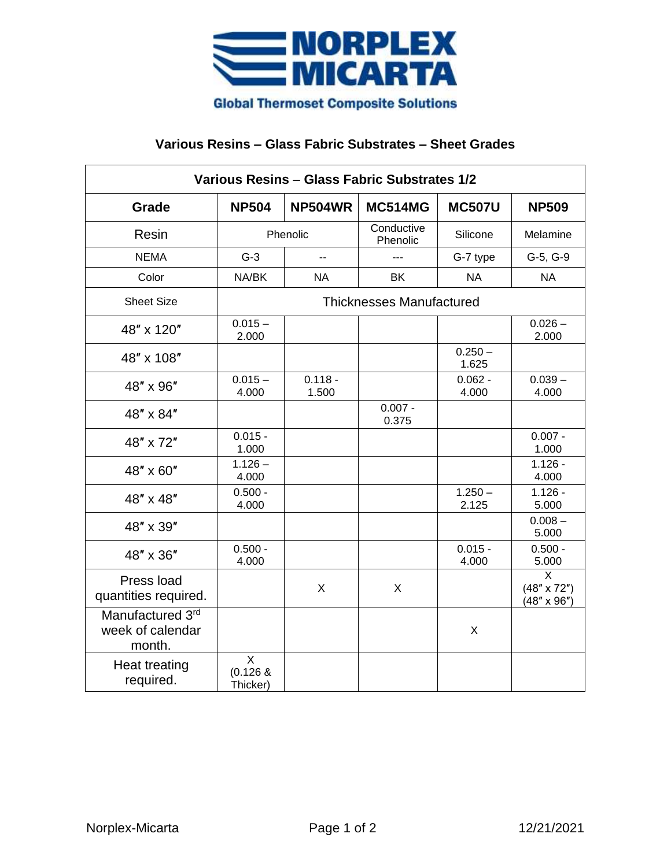

## **Various Resins – Glass Fabric Substrates – Sheet Grades**

| Various Resins - Glass Fabric Substrates 1/2   |                                           |                    |                        |                    |                                               |
|------------------------------------------------|-------------------------------------------|--------------------|------------------------|--------------------|-----------------------------------------------|
| Grade                                          | <b>NP504</b>                              | <b>NP504WR</b>     | <b>MC514MG</b>         | <b>MC507U</b>      | <b>NP509</b>                                  |
| Resin                                          | Phenolic                                  |                    | Conductive<br>Phenolic | Silicone           | Melamine                                      |
| <b>NEMA</b>                                    | $G-3$                                     | $-$                | ---                    | G-7 type           | G-5, G-9                                      |
| Color                                          | NA/BK                                     | <b>NA</b>          | <b>BK</b>              | <b>NA</b>          | <b>NA</b>                                     |
| <b>Sheet Size</b>                              | <b>Thicknesses Manufactured</b>           |                    |                        |                    |                                               |
| 48" x 120"                                     | $0.015 -$<br>2.000                        |                    |                        |                    | $0.026 -$<br>2.000                            |
| 48" x 108"                                     |                                           |                    |                        | $0.250 -$<br>1.625 |                                               |
| 48" x 96"                                      | $0.015 -$<br>4.000                        | $0.118 -$<br>1.500 |                        | $0.062 -$<br>4.000 | $0.039 -$<br>4.000                            |
| 48" x 84"                                      |                                           |                    | $0.007 -$<br>0.375     |                    |                                               |
| 48" x 72"                                      | $0.015 -$<br>1.000                        |                    |                        |                    | $0.007 -$<br>1.000                            |
| 48" x 60"                                      | $1.126 -$<br>4.000                        |                    |                        |                    | $1.126 -$<br>4.000                            |
| 48" x 48"                                      | $0.500 -$<br>4.000                        |                    |                        | $1.250 -$<br>2.125 | $1.126 -$<br>5.000                            |
| 48" x 39"                                      |                                           |                    |                        |                    | $0.008 -$<br>5.000                            |
| 48" x 36"                                      | $0.500 -$<br>4.000                        |                    |                        | $0.015 -$<br>4.000 | $0.500 -$<br>5.000                            |
| Press load<br>quantities required.             |                                           | X                  | X                      |                    | X<br>$(48" \times 72")$<br>$(48" \times 96")$ |
| Manufactured 3rd<br>week of calendar<br>month. |                                           |                    |                        | X                  |                                               |
| <b>Heat treating</b><br>required.              | $\overline{X}$<br>$(0.126 \&$<br>Thicker) |                    |                        |                    |                                               |